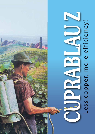Less copper, more efficiency!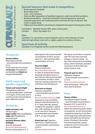# **Special features that make it competitive:**

- Broad spectrum fungicide
- Bactericidal action
- Long term resistance
- Does not affect population of beneficial organisms under normal field conditions
- Beneficial side effects improved maturation of annual grapevine wood and improved grape berry skin hardening which minimizes the risk of infection, that results in grape decay.
- Highly recommended for conventional, integrated and organic farming pest control

Formulation: Wettable Powder (WP), green to bluis green Contains: 350 g / kg Copper (Cu)

### **Use**

Cuprablau Z is a preventive contact fungicide used to control diseases of most important agricultural crops such as apples, grapevines, potatos, tomatos,...

## **Spectrum of activity**

Cuprablau Z is a fungicide used to control the following diseases:

# **Vineyards:**

#### **Downy mildew**

*(Plasmopara viticola)*  - recommended concentration is 0.3 %. At the same time it controls **rot brenner** *(Pseudopeziza* 

*tracheiphila)* and **black rot**  *(Guignardia bidwellii)*.

# **Field crops and garden vegetables:**

#### **Potato and tomato blight**

*(Phytophthora infestans)*  - recommended dose is between 3 to 4 kg/ha. At the same time it controls tomato leaf and glume spots *(Alternaria solani).*

# **Orchards:**

#### **Apple and pear scab**

*(Venturia spp.)*; **apple canker** *(Nectria galligena)*; **collar rot** *(Phytophthora cactorum)* and **bacterial disease called fireblight** *(Erwinia amylovora).* Recommended treatment: first pre-spring spray in A - C

phenophase with recommended concentration of 0.8 %; second spray in  $\mathsf{C}_{\mathsf{3}}$  with recommended concentration of 0.25 %.

#### **Pear Fire blight**

*(Erwinia amylovora)* Recommended treatment:

in order to achieve best results, sprayings should be done in 7 day intervals with recommended concentration of 0.06 %, when trees are starting to blossom and until they reach full blossom.

#### **Shot hole on drupes**

*(Stigmina carpophila)* - recommended concentration is 0.8 %.

#### Recommended treatment: With

spraying we start just before blossom with phenophase E2, in 3-5 days intervals, optimal condition for spraying is before rain , with spraying we continue on till the end of blossom, recommended concentration 0.06 %, or max. 0.9 kg/ha.

**Peach leaf-curl** *(Taphrina deformans), (Taphrina pruni)* - recommended concentration is 0.8 %.

Recommended treatment:

first spray can be done in autumn, after the trees have lost their foliage, or twice in winter - no later than during the bud swelling phase, which minimizes potential occurrence of shot holes and partly of peach scab.

#### **Peacock spot on olive**

*(Spilocaea oleagina)*  - recommended concentration is  $0.3\%$ 

#### Recommended treatment:

early spring spray - before the trees start to blossom.

# l **Hop:**

#### **Downy mildew**

*(Pseudoperonospora humuli)*  - recommended concentration is between 0.25 % and 0.30 %.

#### Recommended treatment:

before the blooming phase, based on prognostic service instructions; compulsory spray has to be done at the beginning of the blooming phase and before the blooming phase is finished; if done after the blooming phase, special prognostic service instructions have to be followed.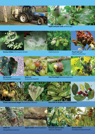

**Apple and pear scab** *(Venturia spp.)*









*(Taphrina pruni)* **Peach leaf-curl**  *(Taphrina deformans)*





*(Pseudopeziza tracheiphila)*

**Rot brenner** 

**Black rot** 



*(Guignardia bidwellii)*



**Pear Fire blight** *(Erwinia amylovora)*



**Potato and tomato blight** *(Phytophthora infestans)*

**Shot hole on drupes** *(Stigmina carpophila)* 



**Collar rot** *(Phytophthora cactorum)*



**Apple canker** *(Nectria galligena)*



**Peacock spot on olive** *(Spilocaea oleagina)*

**Downy mildew**  *(Pseudoperonospora humuli)*